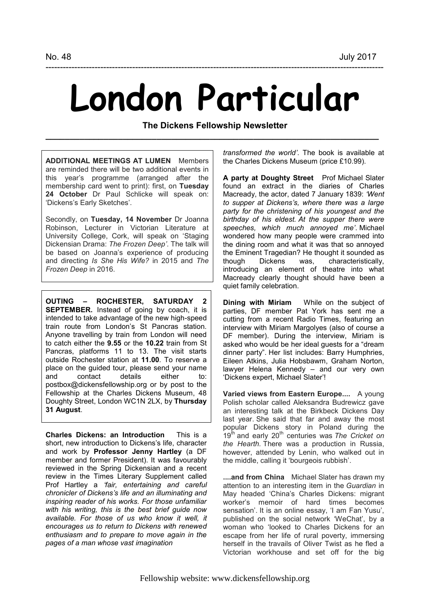## **London Particular**

---------------------------------------------------------------------------------------------------------------------

**The Dickens Fellowship Newsletter \_\_\_\_\_\_\_\_\_\_\_\_\_\_\_\_\_\_\_\_\_\_\_\_\_\_\_\_\_\_\_\_\_\_\_\_\_\_\_\_\_\_\_\_\_\_\_\_\_\_\_\_\_\_\_\_\_\_\_\_\_\_\_\_\_\_\_\_\_** 

**ADDITIONAL MEETINGS AT LUMEN** Members are reminded there will be two additional events in this year's programme (arranged after the membership card went to print): first, on **Tuesday 24 October** Dr Paul Schlicke will speak on: 'Dickens's Early Sketches'.

Secondly, on **Tuesday, 14 November** Dr Joanna Robinson, Lecturer in Victorian Literature at University College, Cork, will speak on 'Staging Dickensian Drama: *The Frozen Deep'*. The talk will be based on Joanna's experience of producing and directing *Is She His Wife?* in 2015 and *The Frozen Deep* in 2016.

**OUTING – ROCHESTER, SATURDAY 2 SEPTEMBER.** Instead of going by coach, it is intended to take advantage of the new high-speed train route from London's St Pancras station. Anyone travelling by train from London will need to catch either the **9.55** or the **10.22** train from St Pancras, platforms 11 to 13. The visit starts outside Rochester station at **11.00**. To reserve a place on the guided tour, please send your name<br>and contact details either to: contact details either to: postbox@dickensfellowship.org or by post to the Fellowship at the Charles Dickens Museum, 48 Doughty Street, London WC1N 2LX, by **Thursday 31 August**.

**Charles Dickens: an Introduction** This is a short, new introduction to Dickens's life, character and work by **Professor Jenny Hartley** (a DF member and former President). It was favourably reviewed in the Spring Dickensian and a recent review in the Times Literary Supplement called Prof Hartley a *'fair, entertaining and careful chronicler of Dickens's life and an illuminating and inspiring reader of his works. For those unfamiliar with his writing, this is the best brief guide now available. For those of us who know it well, it encourages us to return to Dickens with renewed enthusiasm and to prepare to move again in the pages of a man whose vast imagination* 

*transformed the world'*. The book is available at the Charles Dickens Museum (price £10.99).

**A party at Doughty Street** Prof Michael Slater found an extract in the diaries of Charles Macready, the actor, dated 7 January 1839: *'Went to supper at Dickens's, where there was a large party for the christening of his youngest and the birthday of his eldest. At the supper there were speeches, which much annoyed me'*. Michael wondered how many people were crammed into the dining room and what it was that so annoyed the Eminent Tragedian? He thought it sounded as though Dickens was, characteristically, introducing an element of theatre into what Macready clearly thought should have been a quiet family celebration.

**Dining with Miriam** While on the subject of parties, DF member Pat York has sent me a cutting from a recent Radio Times, featuring an interview with Miriam Margolyes (also of course a DF member). During the interview, Miriam is asked who would be her ideal guests for a "dream dinner party". Her list includes: Barry Humphries, Eileen Atkins, Julia Hobsbawm, Graham Norton, lawyer Helena Kennedy – and our very own 'Dickens expert, Michael Slater'!

**Varied views from Eastern Europe....** A young Polish scholar called Aleksandra Budrewicz gave an interesting talk at the Birkbeck Dickens Day last year. She said that far and away the most popular Dickens story in Poland during the 19<sup>th</sup> and early 20<sup>th</sup> centuries was *The Cricket on the Hearth.* There was a production in Russia, however, attended by Lenin, who walked out in the middle, calling it 'bourgeois rubbish'.

**....and from China** Michael Slater has drawn my attention to an interesting item in the *Guardian* in May headed 'China's Charles Dickens: migrant worker's memoir of hard times becomes sensation'. It is an online essay, 'I am Fan Yusu', published on the social network 'WeChat', by a woman who 'looked to Charles Dickens for an escape from her life of rural poverty, immersing herself in the travails of Oliver Twist as he fled a Victorian workhouse and set off for the big